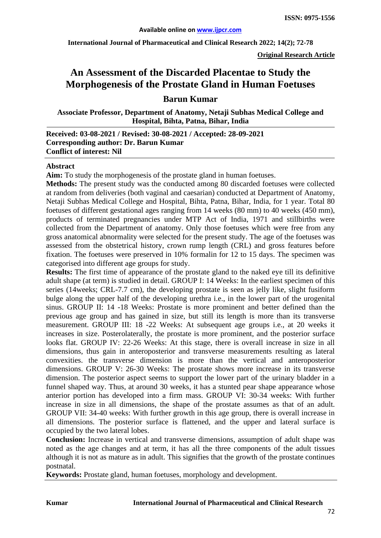**International Journal of Pharmaceutical and Clinical Research 2022; 14(2); 72-78**

**Original Research Article**

# **An Assessment of the Discarded Placentae to Study the Morphogenesis of the Prostate Gland in Human Foetuses**

# **Barun Kumar**

**Associate Professor, Department of Anatomy, Netaji Subhas Medical College and Hospital, Bihta, Patna, Bihar, India**

**Received: 03-08-2021 / Revised: 30-08-2021 / Accepted: 28-09-2021 Corresponding author: Dr. Barun Kumar Conflict of interest: Nil**

#### **Abstract**

**Aim:** To study the morphogenesis of the prostate gland in human foetuses.

**Methods:** The present study was the conducted among 80 discarded foetuses were collected at random from deliveries (both vaginal and caesarian) conducted at Department of Anatomy, Netaji Subhas Medical College and Hospital, Bihta, Patna, Bihar, India, for 1 year. Total 80 foetuses of different gestational ages ranging from 14 weeks (80 mm) to 40 weeks (450 mm), products of terminated pregnancies under MTP Act of India, 1971 and stillbirths were collected from the Department of anatomy. Only those foetuses which were free from any gross anatomical abnormality were selected for the present study. The age of the foetuses was assessed from the obstetrical history, crown rump length (CRL) and gross features before fixation. The foetuses were preserved in 10% formalin for 12 to 15 days. The specimen was categorised into different age groups for study.

**Results:** The first time of appearance of the prostate gland to the naked eye till its definitive adult shape (at term) is studied in detail. GROUP I: 14 Weeks: In the earliest specimen of this series (14weeks; CRL-7.7 cm), the developing prostate is seen as jelly like, slight fusiform bulge along the upper half of the developing urethra i.e., in the lower part of the urogenital sinus. GROUP II: 14 -18 Weeks: Prostate is more prominent and better defined than the previous age group and has gained in size, but still its length is more than its transverse measurement. GROUP III: 18 -22 Weeks: At subsequent age groups i.e., at 20 weeks it increases in size. Posterolaterally, the prostate is more prominent, and the posterior surface looks flat. GROUP IV: 22-26 Weeks: At this stage, there is overall increase in size in all dimensions, thus gain in anteroposterior and transverse measurements resulting as lateral convexities. the transverse dimension is more than the vertical and anteroposterior dimensions. GROUP V: 26-30 Weeks: The prostate shows more increase in its transverse dimension. The posterior aspect seems to support the lower part of the urinary bladder in a funnel shaped way. Thus, at around 30 weeks, it has a stunted pear shape appearance whose anterior portion has developed into a firm mass. GROUP VI: 30-34 weeks: With further increase in size in all dimensions, the shape of the prostate assumes as that of an adult. GROUP VII: 34-40 weeks: With further growth in this age group, there is overall increase in all dimensions. The posterior surface is flattened, and the upper and lateral surface is occupied by the two lateral lobes.

**Conclusion:** Increase in vertical and transverse dimensions, assumption of adult shape was noted as the age changes and at term, it has all the three components of the adult tissues although it is not as mature as in adult. This signifies that the growth of the prostate continues postnatal.

**Keywords:** Prostate gland, human foetuses, morphology and development.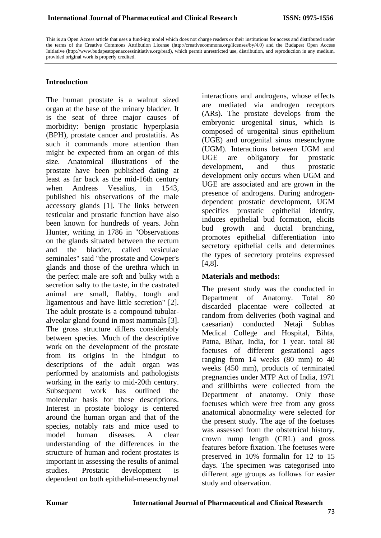This is an Open Access article that uses a fund-ing model which does not charge readers or their institutions for access and distributed under the terms of the Creative Commons Attribution License (http://creativecommons.org/licenses/by/4.0) and the Budapest Open Access Initiative (http://www.budapestopenaccessinitiative.org/read), which permit unrestricted use, distribution, and reproduction in any medium, provided original work is properly credited.

### **Introduction**

The human prostate is a walnut sized organ at the base of the urinary bladder. It is the seat of three major causes of morbidity: benign prostatic hyperplasia (BPH), prostate cancer and prostatitis. As such it commands more attention than might be expected from an organ of this size. Anatomical illustrations of the prostate have been published dating at least as far back as the mid-16th century when Andreas Vesalius, in 1543 published his observations of the male accessory glands [1]. The links between testicular and prostatic function have also been known for hundreds of years. John Hunter, writing in 1786 in "Observations on the glands situated between the rectum and the bladder, called vesiculae seminales" said "the prostate and Cowper's glands and those of the urethra which in the perfect male are soft and bulky with a secretion salty to the taste, in the castrated animal are small, flabby, tough and ligamentous and have little secretion" [2]. The adult prostate is a compound tubularalveolar gland found in most mammals [3]. The gross structure differs considerably between species. Much of the descriptive work on the development of the prostate from its origins in the hindgut to descriptions of the adult organ was performed by anatomists and pathologists working in the early to mid-20th century. Subsequent work has outlined the molecular basis for these descriptions. Interest in prostate biology is centered around the human organ and that of the species, notably rats and mice used to model human diseases. A clear understanding of the differences in the structure of human and rodent prostates is important in assessing the results of animal studies. Prostatic development is dependent on both epithelial-mesenchymal interactions and androgens, whose effects are mediated via androgen receptors (ARs). The prostate develops from the embryonic urogenital sinus, which is composed of urogenital sinus epithelium (UGE) and urogenital sinus mesenchyme (UGM). Interactions between UGM and UGE are obligatory for prostatic development, and thus prostatic development only occurs when UGM and UGE are associated and are grown in the presence of androgens. During androgendependent prostatic development, UGM specifies prostatic epithelial identity, induces epithelial bud formation, elicits bud growth and ductal branching, promotes epithelial differentiation into secretory epithelial cells and determines the types of secretory proteins expressed [4,8].

#### **Materials and methods:**

The present study was the conducted in Department of Anatomy. Total 80 discarded placentae were collected at random from deliveries (both vaginal and caesarian) conducted Netaji Subhas Medical College and Hospital, Bihta, Patna, Bihar, India, for 1 year. total 80 foetuses of different gestational ages ranging from 14 weeks (80 mm) to 40 weeks (450 mm), products of terminated pregnancies under MTP Act of India, 1971 and stillbirths were collected from the Department of anatomy. Only those foetuses which were free from any gross anatomical abnormality were selected for the present study. The age of the foetuses was assessed from the obstetrical history, crown rump length (CRL) and gross features before fixation. The foetuses were preserved in 10% formalin for 12 to 15 days. The specimen was categorised into different age groups as follows for easier study and observation.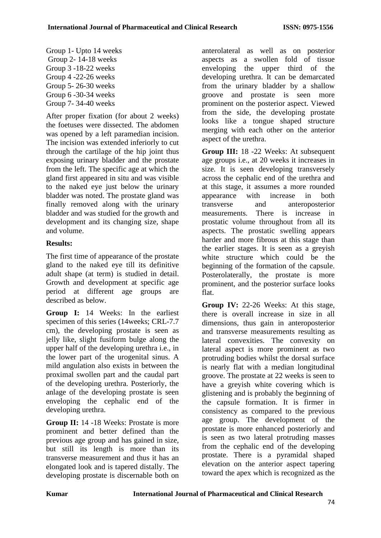Group 1- Upto 14 weeks Group 2- 14-18 weeks Group 3 -18-22 weeks Group 4 -22-26 weeks Group 5- 26-30 weeks Group 6 -30-34 weeks Group 7- 34-40 weeks

After proper fixation (for about 2 weeks) the foetuses were dissected. The abdomen was opened by a left paramedian incision. The incision was extended inferiorly to cut through the cartilage of the hip joint thus exposing urinary bladder and the prostate from the left. The specific age at which the gland first appeared in situ and was visible to the naked eye just below the urinary bladder was noted. The prostate gland was finally removed along with the urinary bladder and was studied for the growth and development and its changing size, shape and volume.

# **Results:**

The first time of appearance of the prostate gland to the naked eye till its definitive adult shape (at term) is studied in detail. Growth and development at specific age period at different age groups are described as below.

**Group I:** 14 Weeks: In the earliest specimen of this series (14weeks; CRL-7.7 cm), the developing prostate is seen as jelly like, slight fusiform bulge along the upper half of the developing urethra i.e., in the lower part of the urogenital sinus. A mild angulation also exists in between the proximal swollen part and the caudal part of the developing urethra. Posteriorly, the anlage of the developing prostate is seen enveloping the cephalic end of the developing urethra.

**Group II:** 14 -18 Weeks: Prostate is more prominent and better defined than the previous age group and has gained in size, but still its length is more than its transverse measurement and thus it has an elongated look and is tapered distally. The developing prostate is discernable both on

anterolateral as well as on posterior aspects as a swollen fold of tissue enveloping the upper third of the developing urethra. It can be demarcated from the urinary bladder by a shallow groove and prostate is seen more prominent on the posterior aspect. Viewed from the side, the developing prostate looks like a tongue shaped structure merging with each other on the anterior aspect of the urethra.

**Group III:** 18 -22 Weeks: At subsequent age groups i.e., at 20 weeks it increases in size. It is seen developing transversely across the cephalic end of the urethra and at this stage, it assumes a more rounded appearance with increase in both transverse and anteroposterior measurements. There is increase in prostatic volume throughout from all its aspects. The prostatic swelling appears harder and more fibrous at this stage than the earlier stages. It is seen as a greyish white structure which could be the beginning of the formation of the capsule. Posterolaterally, the prostate is more prominent, and the posterior surface looks flat.

**Group IV:** 22-26 Weeks: At this stage, there is overall increase in size in all dimensions, thus gain in anteroposterior and transverse measurements resulting as lateral convexities. The convexity on lateral aspect is more prominent as two protruding bodies whilst the dorsal surface is nearly flat with a median longitudinal groove. The prostate at 22 weeks is seen to have a greyish white covering which is glistening and is probably the beginning of the capsule formation. It is firmer in consistency as compared to the previous age group. The development of the prostate is more enhanced posteriorly and is seen as two lateral protruding masses from the cephalic end of the developing prostate. There is a pyramidal shaped elevation on the anterior aspect tapering toward the apex which is recognized as the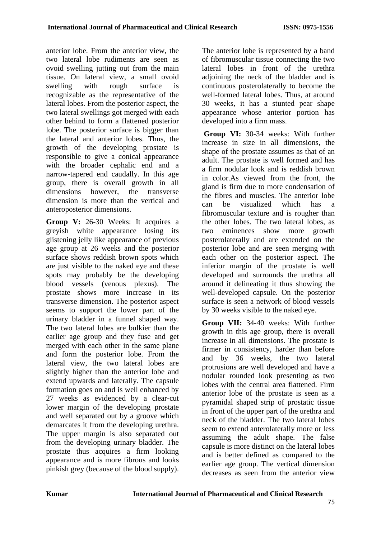anterior lobe. From the anterior view, the two lateral lobe rudiments are seen as ovoid swelling jutting out from the main tissue. On lateral view, a small ovoid swelling with rough surface is recognizable as the representative of the lateral lobes. From the posterior aspect, the two lateral swellings got merged with each other behind to form a flattened posterior lobe. The posterior surface is bigger than the lateral and anterior lobes. Thus, the growth of the developing prostate is responsible to give a conical appearance with the broader cephalic end and a narrow-tapered end caudally. In this age group, there is overall growth in all dimensions however, the transverse dimension is more than the vertical and anteroposterior dimensions.

**Group V:** 26-30 Weeks: It acquires a greyish white appearance losing its glistening jelly like appearance of previous age group at 26 weeks and the posterior surface shows reddish brown spots which are just visible to the naked eye and these spots may probably be the developing blood vessels (venous plexus). The prostate shows more increase in its transverse dimension. The posterior aspect seems to support the lower part of the urinary bladder in a funnel shaped way. The two lateral lobes are bulkier than the earlier age group and they fuse and get merged with each other in the same plane and form the posterior lobe. From the lateral view, the two lateral lobes are slightly higher than the anterior lobe and extend upwards and laterally. The capsule formation goes on and is well enhanced by 27 weeks as evidenced by a clear-cut lower margin of the developing prostate and well separated out by a groove which demarcates it from the developing urethra. The upper margin is also separated out from the developing urinary bladder. The prostate thus acquires a firm looking appearance and is more fibrous and looks pinkish grey (because of the blood supply).

The anterior lobe is represented by a band of fibromuscular tissue connecting the two lateral lobes in front of the urethra adioining the neck of the bladder and is continuous posterolaterally to become the well-formed lateral lobes. Thus, at around 30 weeks, it has a stunted pear shape appearance whose anterior portion has developed into a firm mass.

**Group VI:** 30-34 weeks: With further increase in size in all dimensions, the shape of the prostate assumes as that of an adult. The prostate is well formed and has a firm nodular look and is reddish brown in color.As viewed from the front, the gland is firm due to more condensation of the fibres and muscles. The anterior lobe can be visualized which has a fibromuscular texture and is rougher than the other lobes. The two lateral lobes, as two eminences show more growth posterolaterally and are extended on the posterior lobe and are seen merging with each other on the posterior aspect. The inferior margin of the prostate is well developed and surrounds the urethra all around it delineating it thus showing the well-developed capsule. On the posterior surface is seen a network of blood vessels by 30 weeks visible to the naked eye.

**Group VII:** 34-40 weeks: With further growth in this age group, there is overall increase in all dimensions. The prostate is firmer in consistency, harder than before and by 36 weeks, the two lateral protrusions are well developed and have a nodular rounded look presenting as two lobes with the central area flattened. Firm anterior lobe of the prostate is seen as a pyramidal shaped strip of prostatic tissue in front of the upper part of the urethra and neck of the bladder. The two lateral lobes seem to extend anterolaterally more or less assuming the adult shape. The false capsule is more distinct on the lateral lobes and is better defined as compared to the earlier age group. The vertical dimension decreases as seen from the anterior view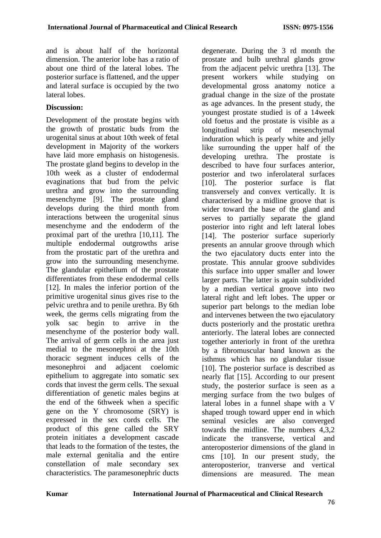and is about half of the horizontal dimension. The anterior lobe has a ratio of about one third of the lateral lobes. The posterior surface is flattened, and the upper and lateral surface is occupied by the two lateral lobes.

# **Discussion:**

Development of the prostate begins with the growth of prostatic buds from the urogenital sinus at about 10th week of fetal development in Majority of the workers have laid more emphasis on histogenesis. The prostate gland begins to develop in the 10th week as a cluster of endodermal evaginations that bud from the pelvic urethra and grow into the surrounding mesenchyme [9]. The prostate gland develops during the third month from interactions between the urogenital sinus mesenchyme and the endoderm of the proximal part of the urethra [10,11]. The multiple endodermal outgrowths arise from the prostatic part of the urethra and grow into the surrounding mesenchyme. The glandular epithelium of the prostate differentiates from these endodermal cells [12]. In males the inferior portion of the primitive urogenital sinus gives rise to the pelvic urethra and to penile urethra. By 6th week, the germs cells migrating from the yolk sac begin to arrive in the mesenchyme of the posterior body wall. The arrival of germ cells in the area just medial to the mesonephroi at the 10th thoracic segment induces cells of the mesonephroi and adjacent coelomic epithelium to aggregate into somatic sex cords that invest the germ cells. The sexual differentiation of genetic males begins at the end of the 6thweek when a specific gene on the Y chromosome (SRY) is expressed in the sex cords cells. The product of this gene called the SRY protein initiates a development cascade that leads to the formation of the testes, the male external genitalia and the entire constellation of male secondary sex characteristics. The paramesonephric ducts

degenerate. During the 3 rd month the prostate and bulb urethral glands grow from the adjacent pelvic urethra [13]. The present workers while studying on developmental gross anatomy notice a gradual change in the size of the prostate as age advances. In the present study, the youngest prostate studied is of a 14week old foetus and the prostate is visible as a longitudinal strip of mesenchymal induration which is pearly white and jelly like surrounding the upper half of the developing urethra. The prostate is described to have four surfaces anterior, posterior and two inferolateral surfaces [10]. The posterior surface is flat transversely and convex vertically. It is characterised by a midline groove that is wider toward the base of the gland and serves to partially separate the gland posterior into right and left lateral lobes [14]. The posterior surface superiorly presents an annular groove through which the two ejaculatory ducts enter into the prostate. This annular groove subdivides this surface into upper smaller and lower larger parts. The latter is again subdivided by a median vertical groove into two lateral right and left lobes. The upper or superior part belongs to the median lobe and intervenes between the two ejaculatory ducts posteriorly and the prostatic urethra anteriorly. The lateral lobes are connected together anteriorly in front of the urethra by a fibromuscular band known as the isthmus which has no glandular tissue [10]. The posterior surface is described as nearly flat [15]. According to our present study, the posterior surface is seen as a merging surface from the two bulges of lateral lobes in a funnel shape with a V shaped trough toward upper end in which seminal vesicles are also converged towards the midline. The numbers 4,3,2 indicate the transverse, vertical and anteroposterior dimensions of the gland in cms [10]. In our present study, the anteroposterior, tranverse and vertical dimensions are measured. The mean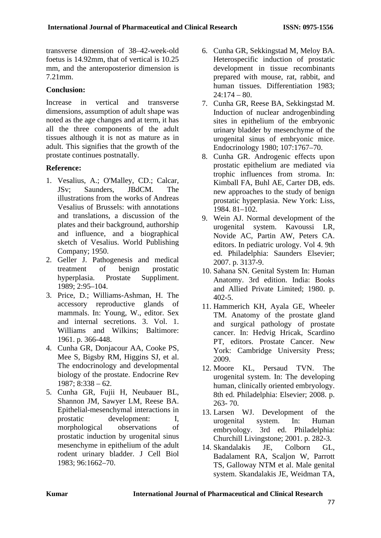transverse dimension of 38–42-week-old foetus is 14.92mm, that of vertical is 10.25 mm, and the anteroposterior dimension is 7.21mm.

## **Conclusion:**

Increase in vertical and transverse dimensions, assumption of adult shape was noted as the age changes and at term, it has all the three components of the adult tissues although it is not as mature as in adult. This signifies that the growth of the prostate continues postnatally.

## **Reference:**

- 1. Vesalius, A.; O'Malley, CD.; Calcar, JSv; Saunders, JBdCM. The illustrations from the works of Andreas Vesalius of Brussels: with annotations and translations, a discussion of the plates and their background, authorship and influence, and a biographical sketch of Vesalius. World Publishing Company; 1950.
- 2. Geller J. Pathogenesis and medical treatment of benign prostatic hyperplasia. Prostate Suppliment. 1989; 2:95–104.
- 3. Price, D.; Williams-Ashman, H. The accessory reproductive glands of mammals. In: Young, W., editor. Sex and internal secretions. 3. Vol. 1. Williams and Wilkins; Baltimore: 1961. p. 366-448.
- 4. Cunha GR, Donjacour AA, Cooke PS, Mee S, Bigsby RM, Higgins SJ, et al. The endocrinology and developmental biology of the prostate. Endocrine Rev 1987; 8:338 – 62.
- 5. Cunha GR, Fujii H, Neubauer BL, Shannon JM, Sawyer LM, Reese BA. Epithelial-mesenchymal interactions in prostatic development: I, morphological observations of prostatic induction by urogenital sinus mesenchyme in epithelium of the adult rodent urinary bladder. J Cell Biol 1983; 96:1662–70.
- 6. Cunha GR, Sekkingstad M, Meloy BA. Heterospecific induction of prostatic development in tissue recombinants prepared with mouse, rat, rabbit, and human tissues. Differentiation 1983;  $24:174 - 80.$
- 7. Cunha GR, Reese BA, Sekkingstad M. Induction of nuclear androgenbinding sites in epithelium of the embryonic urinary bladder by mesenchyme of the urogenital sinus of embryonic mice. Endocrinology 1980; 107:1767–70.
- 8. Cunha GR. Androgenic effects upon prostatic epithelium are mediated via trophic influences from stroma. In: Kimball FA, Buhl AE, Carter DB, eds. new approaches to the study of benign prostatic hyperplasia. New York: Liss, 1984. 81–102.
- 9. Wein AJ. Normal development of the urogenital system. Kavoussi LR, Novide AC, Partin AW, Peters CA. editors. In pediatric urology. Vol 4. 9th ed. Philadelphia: Saunders Elsevier; 2007. p. 3137-9.
- 10. Sahana SN. Genital System In: Human Anatomy. 3rd edition. India: Books and Allied Private Limited; 1980. p. 402-5.
- 11. Hammerich KH, Ayala GE, Wheeler TM. Anatomy of the prostate gland and surgical pathology of prostate cancer. In: Hedvig Hricak, Scardino PT, editors. Prostate Cancer. New York: Cambridge University Press; 2009.
- 12. Moore KL, Persaud TVN. The urogenital system. In: The developing human, clinically oriented embryology. 8th ed. Philadelphia: Elsevier; 2008. p. 263- 70.
- 13. Larsen WJ. Development of the urogenital system. In: Human embryology. 3rd ed. Philadelphia: Churchill Livingstone; 2001. p. 282-3.
- 14. Skandalakis JE, Colborn GL, Badalament RA, Scaljon W, Parrott TS, Galloway NTM et al. Male genital system. Skandalakis JE, Weidman TA,